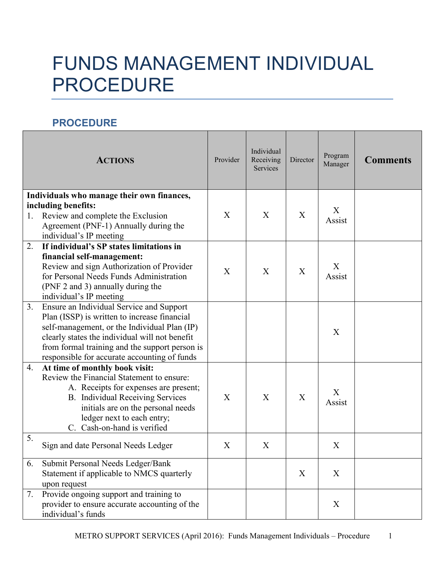## FUNDS MANAGEMENT INDIVIDUAL PROCEDURE

## **PROCEDURE**

|    | <b>ACTIONS</b>                                                                                                                                                                                                                                                                               | Provider | Individual<br>Receiving<br><b>Services</b> | Director | Program<br>Manager | <b>Comments</b> |
|----|----------------------------------------------------------------------------------------------------------------------------------------------------------------------------------------------------------------------------------------------------------------------------------------------|----------|--------------------------------------------|----------|--------------------|-----------------|
| 1. | Individuals who manage their own finances,<br>including benefits:<br>Review and complete the Exclusion<br>Agreement (PNF-1) Annually during the<br>individual's IP meeting                                                                                                                   | X        | X                                          | X        | X<br>Assist        |                 |
| 2. | If individual's SP states limitations in<br>financial self-management:<br>Review and sign Authorization of Provider<br>for Personal Needs Funds Administration<br>(PNF 2 and 3) annually during the<br>individual's IP meeting                                                               | X        | X                                          | X        | X<br>Assist        |                 |
| 3. | Ensure an Individual Service and Support<br>Plan (ISSP) is written to increase financial<br>self-management, or the Individual Plan (IP)<br>clearly states the individual will not benefit<br>from formal training and the support person is<br>responsible for accurate accounting of funds |          |                                            |          | X                  |                 |
| 4. | At time of monthly book visit:<br>Review the Financial Statement to ensure:<br>A. Receipts for expenses are present;<br>B. Individual Receiving Services<br>initials are on the personal needs<br>ledger next to each entry;<br>C. Cash-on-hand is verified                                  | X        | X                                          | X        | X<br>Assist        |                 |
| 5. | Sign and date Personal Needs Ledger                                                                                                                                                                                                                                                          | X        | X                                          |          | X                  |                 |
| 6. | Submit Personal Needs Ledger/Bank<br>Statement if applicable to NMCS quarterly<br>upon request                                                                                                                                                                                               |          |                                            | X        | X                  |                 |
| 7. | Provide ongoing support and training to<br>provider to ensure accurate accounting of the<br>individual's funds                                                                                                                                                                               |          |                                            |          | X                  |                 |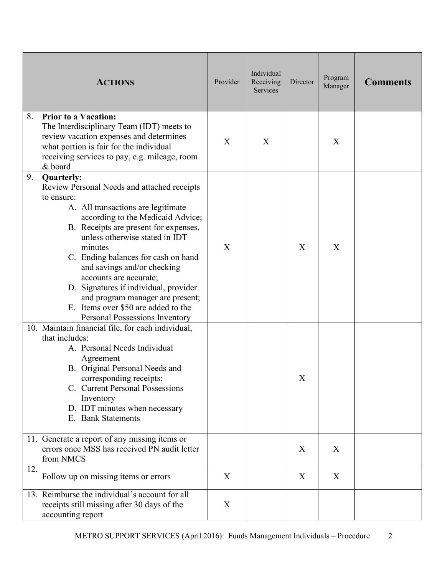|     | <b>ACTIONS</b>                                                                                                                                                                                                                                                                                                                                                                                                                                                                                        | Provider | Individual<br>Receiving<br>Services | Director | Program<br>Manager | <b>Comments</b> |
|-----|-------------------------------------------------------------------------------------------------------------------------------------------------------------------------------------------------------------------------------------------------------------------------------------------------------------------------------------------------------------------------------------------------------------------------------------------------------------------------------------------------------|----------|-------------------------------------|----------|--------------------|-----------------|
| 8.  | <b>Prior to a Vacation:</b><br>The Interdisciplinary Team (IDT) meets to<br>review vacation expenses and determines<br>what portion is fair for the individual<br>receiving services to pay, e.g. mileage, room<br>& board                                                                                                                                                                                                                                                                            | X        | X                                   |          | X                  |                 |
| 9.  | <b>Quarterly:</b><br>Review Personal Needs and attached receipts<br>to ensure:<br>A. All transactions are legitimate<br>according to the Medicaid Advice;<br>B. Receipts are present for expenses,<br>unless otherwise stated in IDT<br>minutes<br>C. Ending balances for cash on hand<br>and savings and/or checking<br>accounts are accurate;<br>D. Signatures if individual, provider<br>and program manager are present;<br>E. Items over \$50 are added to the<br>Personal Possessions Inventory | X        |                                     | X        | X                  |                 |
|     | 10. Maintain financial file, for each individual,<br>that includes:<br>A. Personal Needs Individual<br>Agreement<br>B. Original Personal Needs and<br>corresponding receipts;<br>C. Current Personal Possessions<br>Inventory<br>D. IDT minutes when necessary<br>E. Bank Statements                                                                                                                                                                                                                  |          |                                     | X        |                    |                 |
|     | 11. Generate a report of any missing items or<br>errors once MSS has received PN audit letter<br>from NMCS                                                                                                                                                                                                                                                                                                                                                                                            |          |                                     | X        | X                  |                 |
| 12. | Follow up on missing items or errors                                                                                                                                                                                                                                                                                                                                                                                                                                                                  | X        |                                     | X        | X                  |                 |
|     | 13. Reimburse the individual's account for all<br>receipts still missing after 30 days of the<br>accounting report                                                                                                                                                                                                                                                                                                                                                                                    | X        |                                     |          |                    |                 |